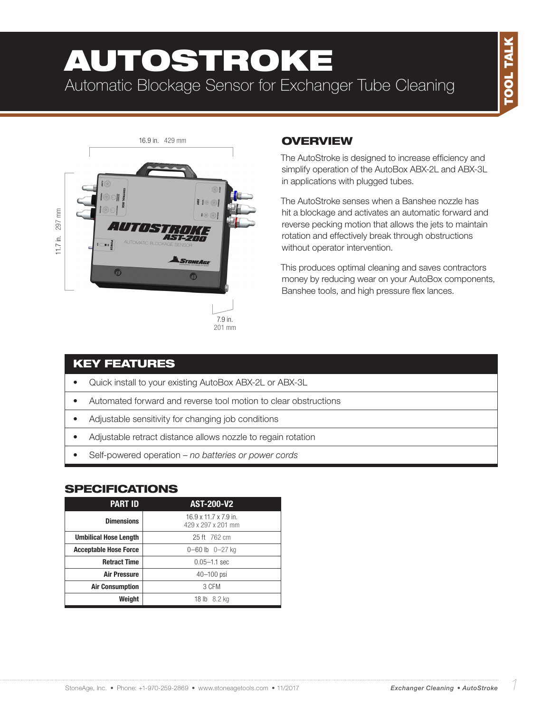# AUTOSTROKE Automatic Blockage Sensor for Exchanger Tube Cleaning



### **OVERVIEW**

The AutoStroke is designed to increase efficiency and simplify operation of the AutoBox ABX-2L and ABX-3L in applications with plugged tubes.

The AutoStroke senses when a Banshee nozzle has hit a blockage and activates an automatic forward and reverse pecking motion that allows the jets to maintain rotation and effectively break through obstructions without operator intervention.

This produces optimal cleaning and saves contractors money by reducing wear on your AutoBox components, Banshee tools, and high pressure flex lances.

#### KEY FEATURES

- Quick install to your existing AutoBox ABX-2L or ABX-3L
- Automated forward and reverse tool motion to clear obstructions
- Adjustable sensitivity for changing job conditions
- Adjustable retract distance allows nozzle to regain rotation
- Self-powered operation – *no batteries or power cords*

#### **SPECIFICATIONS**

| <b>PART ID</b>               | <b>AST-200-V2</b>                           |  |
|------------------------------|---------------------------------------------|--|
| <b>Dimensions</b>            | 16.9 x 11.7 x 7.9 in.<br>429 x 297 x 201 mm |  |
| <b>Umbilical Hose Length</b> | 25 ft 762 cm                                |  |
| <b>Acceptable Hose Force</b> | $0 - 60$ lb $0 - 27$ kg                     |  |
| <b>Retract Time</b>          | $0.05 - 1.1$ sec                            |  |
| <b>Air Pressure</b>          | $40 - 100$ psi                              |  |
| <b>Air Consumption</b>       | 3 CFM                                       |  |
| Weight                       | 18 lb 8.2 kg                                |  |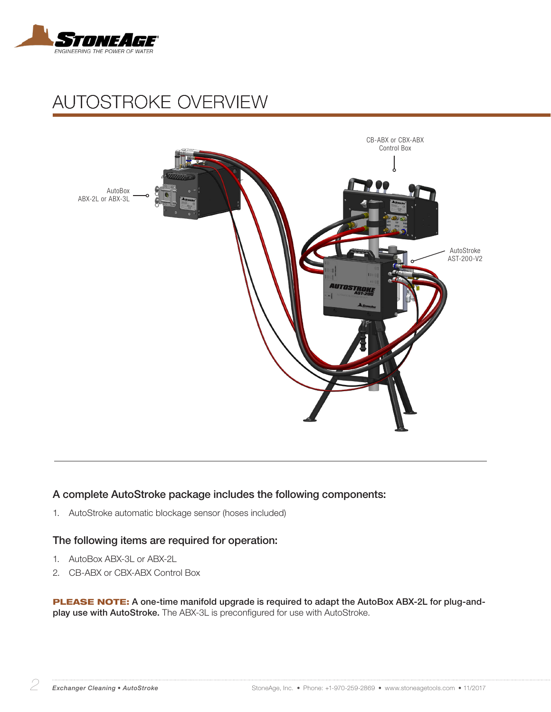

# AUTOSTROKE OVERVIEW



#### A complete AutoStroke package includes the following components:

1. AutoStroke automatic blockage sensor (hoses included)

#### The following items are required for operation:

- 1. AutoBox ABX-3L or ABX-2L
- 2. CB-ABX or CBX-ABX Control Box

PLEASE NOTE: A one-time manifold upgrade is required to adapt the AutoBox ABX-2L for plug-andplay use with AutoStroke. The ABX-3L is preconfigured for use with AutoStroke.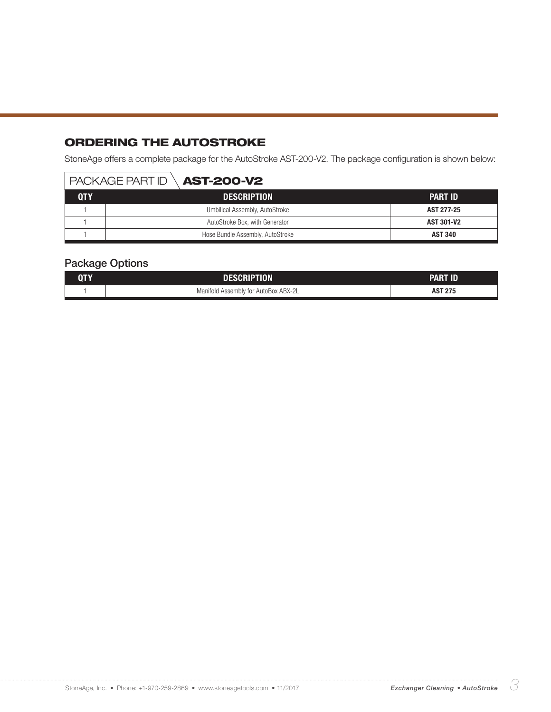## ORDERING THE AUTOSTROKE

StoneAge offers a complete package for the AutoStroke AST-200-V2. The package configuration is shown below:

#### $P$  PACKAGE PART ID  $\setminus$  **AST-200-V2**

| QTY | <b>DESCRIPTION</b>               | <b>PART ID</b>    |
|-----|----------------------------------|-------------------|
|     | Umbilical Assembly, AutoStroke   | AST 277-25        |
|     | AutoStroke Box, with Generator   | <b>AST 301-V2</b> |
|     | Hose Bundle Assembly, AutoStroke | <b>AST 340</b>    |

#### Package Options

| <b>QTY</b> | DESCRIPTION                          | Part Id        |
|------------|--------------------------------------|----------------|
|            | Manifold Assembly for AutoBox ABX-2L | <b>AST 275</b> |